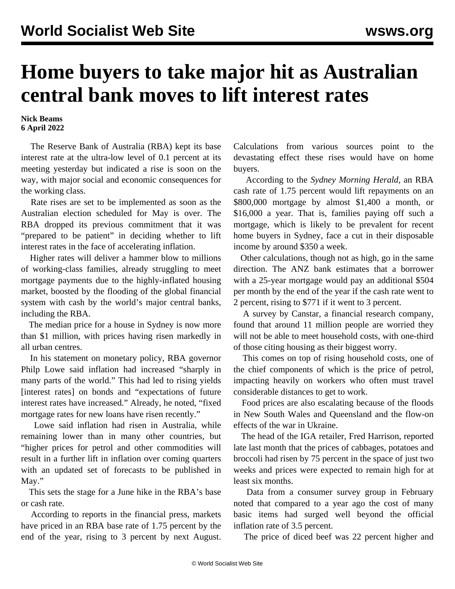## **Home buyers to take major hit as Australian central bank moves to lift interest rates**

**Nick Beams 6 April 2022**

 The Reserve Bank of Australia (RBA) kept its base interest rate at the ultra-low level of 0.1 percent at its meeting yesterday but indicated a rise is soon on the way, with major social and economic consequences for the working class.

 Rate rises are set to be implemented as soon as the Australian election scheduled for May is over. The RBA dropped its previous commitment that it was "prepared to be patient" in deciding whether to lift interest rates in the face of accelerating inflation.

 Higher rates will deliver a hammer blow to millions of working-class families, already struggling to meet mortgage payments due to the highly-inflated housing market, boosted by the flooding of the global financial system with cash by the world's major central banks, including the RBA.

 The median price for a house in Sydney is now more than \$1 million, with prices having risen markedly in all urban centres.

 In his statement on monetary policy, RBA governor Philp Lowe said inflation had increased "sharply in many parts of the world." This had led to rising yields [interest rates] on bonds and "expectations of future interest rates have increased." Already, he noted, "fixed mortgage rates for new loans have risen recently."

 Lowe said inflation had risen in Australia, while remaining lower than in many other countries, but "higher prices for petrol and other commodities will result in a further lift in inflation over coming quarters with an updated set of forecasts to be published in May."

 This sets the stage for a June hike in the RBA's base or cash rate.

 According to reports in the financial press, markets have priced in an RBA base rate of 1.75 percent by the end of the year, rising to 3 percent by next August.

Calculations from various sources point to the devastating effect these rises would have on home buyers.

 According to the *Sydney Morning Herald*, an RBA cash rate of 1.75 percent would lift repayments on an \$800,000 mortgage by almost \$1,400 a month, or \$16,000 a year. That is, families paying off such a mortgage, which is likely to be prevalent for recent home buyers in Sydney, face a cut in their disposable income by around \$350 a week.

 Other calculations, though not as high, go in the same direction. The ANZ bank estimates that a borrower with a 25-year mortgage would pay an additional \$504 per month by the end of the year if the cash rate went to 2 percent, rising to \$771 if it went to 3 percent.

 A survey by Canstar, a financial research company, found that around 11 million people are worried they will not be able to meet household costs, with one-third of those citing housing as their biggest worry.

 This comes on top of rising household costs, one of the chief components of which is the price of petrol, impacting heavily on workers who often must travel considerable distances to get to work.

 Food prices are also escalating because of the floods in New South Wales and Queensland and the flow-on effects of the war in Ukraine.

 The head of the IGA retailer, Fred Harrison, reported late last month that the prices of cabbages, potatoes and broccoli had risen by 75 percent in the space of just two weeks and prices were expected to remain high for at least six months.

 Data from a consumer survey group in February noted that compared to a year ago the cost of many basic items had surged well beyond the official inflation rate of 3.5 percent.

The price of diced beef was 22 percent higher and